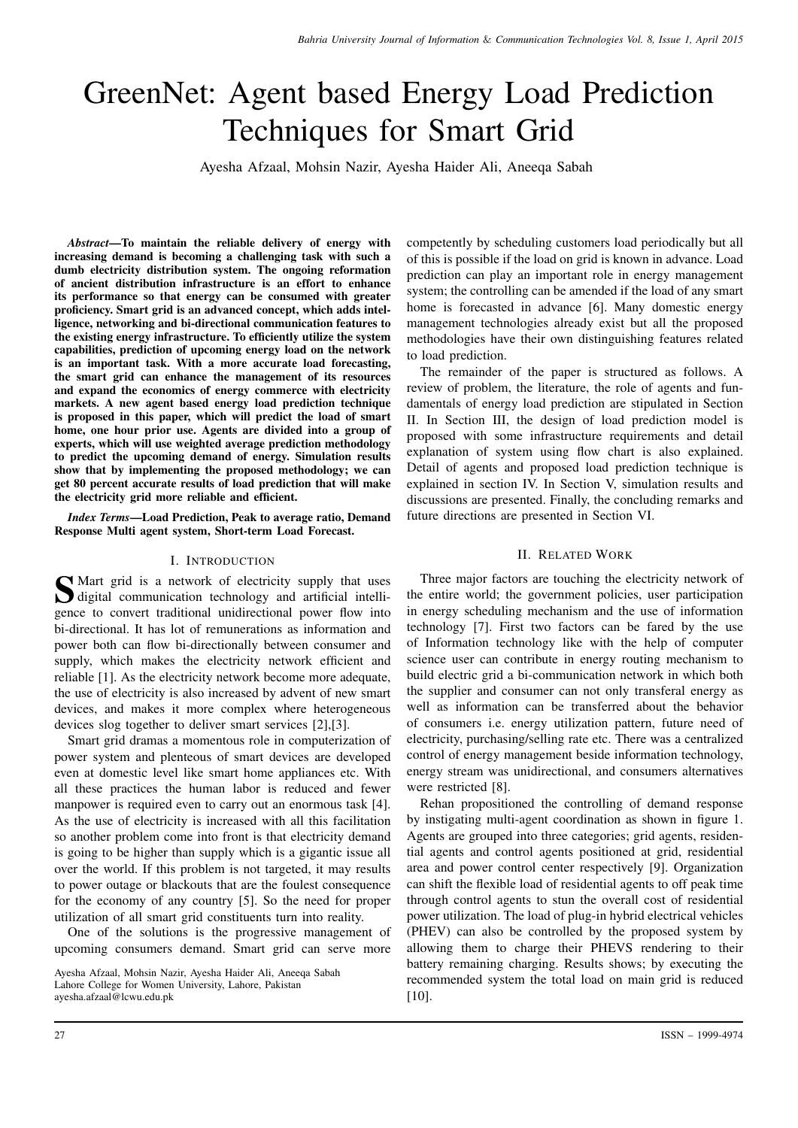# GreenNet: Agent based Energy Load Prediction Techniques for Smart Grid

Ayesha Afzaal, Mohsin Nazir, Ayesha Haider Ali, Aneeqa Sabah

*Abstract*—To maintain the reliable delivery of energy with increasing demand is becoming a challenging task with such a dumb electricity distribution system. The ongoing reformation of ancient distribution infrastructure is an effort to enhance its performance so that energy can be consumed with greater proficiency. Smart grid is an advanced concept, which adds intelligence, networking and bi-directional communication features to the existing energy infrastructure. To efficiently utilize the system capabilities, prediction of upcoming energy load on the network is an important task. With a more accurate load forecasting, the smart grid can enhance the management of its resources and expand the economics of energy commerce with electricity markets. A new agent based energy load prediction technique is proposed in this paper, which will predict the load of smart home, one hour prior use. Agents are divided into a group of experts, which will use weighted average prediction methodology to predict the upcoming demand of energy. Simulation results show that by implementing the proposed methodology; we can get 80 percent accurate results of load prediction that will make the electricity grid more reliable and efficient.

*Index Terms*—Load Prediction, Peak to average ratio, Demand Response Multi agent system, Short-term Load Forecast.

### I. INTRODUCTION

S Mart grid is a network of electricity supply that uses<br>digital communication technology and artificial intelli-<br>space to acquire to diffused unidirectional acquisities digital communication technology and artificial intelligence to convert traditional unidirectional power flow into bi-directional. It has lot of remunerations as information and power both can flow bi-directionally between consumer and supply, which makes the electricity network efficient and reliable [1]. As the electricity network become more adequate, the use of electricity is also increased by advent of new smart devices, and makes it more complex where heterogeneous devices slog together to deliver smart services [2],[3].

Smart grid dramas a momentous role in computerization of power system and plenteous of smart devices are developed even at domestic level like smart home appliances etc. With all these practices the human labor is reduced and fewer manpower is required even to carry out an enormous task [4]. As the use of electricity is increased with all this facilitation so another problem come into front is that electricity demand is going to be higher than supply which is a gigantic issue all over the world. If this problem is not targeted, it may results to power outage or blackouts that are the foulest consequence for the economy of any country [5]. So the need for proper utilization of all smart grid constituents turn into reality.

One of the solutions is the progressive management of upcoming consumers demand. Smart grid can serve more

Ayesha Afzaal, Mohsin Nazir, Ayesha Haider Ali, Aneeqa Sabah Lahore College for Women University, Lahore, Pakistan ayesha.afzaal@lcwu.edu.pk

competently by scheduling customers load periodically but all of this is possible if the load on grid is known in advance. Load prediction can play an important role in energy management system; the controlling can be amended if the load of any smart home is forecasted in advance [6]. Many domestic energy management technologies already exist but all the proposed methodologies have their own distinguishing features related to load prediction.

The remainder of the paper is structured as follows. A review of problem, the literature, the role of agents and fundamentals of energy load prediction are stipulated in Section II. In Section III, the design of load prediction model is proposed with some infrastructure requirements and detail explanation of system using flow chart is also explained. Detail of agents and proposed load prediction technique is explained in section IV. In Section V, simulation results and discussions are presented. Finally, the concluding remarks and future directions are presented in Section VI.

## II. RELATED WORK

Three major factors are touching the electricity network of the entire world; the government policies, user participation in energy scheduling mechanism and the use of information technology [7]. First two factors can be fared by the use of Information technology like with the help of computer science user can contribute in energy routing mechanism to build electric grid a bi-communication network in which both the supplier and consumer can not only transferal energy as well as information can be transferred about the behavior of consumers i.e. energy utilization pattern, future need of electricity, purchasing/selling rate etc. There was a centralized control of energy management beside information technology, energy stream was unidirectional, and consumers alternatives were restricted [8].

Rehan propositioned the controlling of demand response by instigating multi-agent coordination as shown in figure 1. Agents are grouped into three categories; grid agents, residential agents and control agents positioned at grid, residential area and power control center respectively [9]. Organization can shift the flexible load of residential agents to off peak time through control agents to stun the overall cost of residential power utilization. The load of plug-in hybrid electrical vehicles (PHEV) can also be controlled by the proposed system by allowing them to charge their PHEVS rendering to their battery remaining charging. Results shows; by executing the recommended system the total load on main grid is reduced  $[10]$ .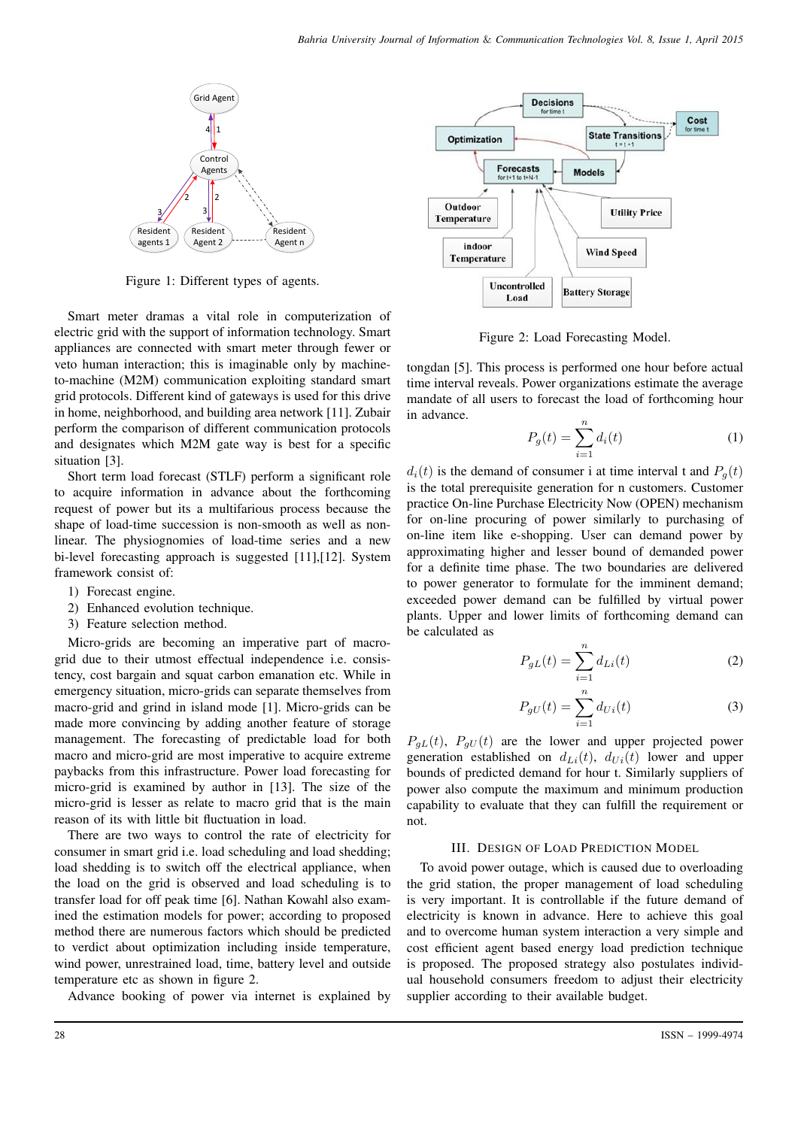

Figure 1: Different types of agents.

Smart meter dramas a vital role in computerization of electric grid with the support of information technology. Smart appliances are connected with smart meter through fewer or veto human interaction; this is imaginable only by machineto-machine (M2M) communication exploiting standard smart grid protocols. Different kind of gateways is used for this drive in home, neighborhood, and building area network [11]. Zubair perform the comparison of different communication protocols and designates which M2M gate way is best for a specific situation [3].

Short term load forecast (STLF) perform a significant role to acquire information in advance about the forthcoming request of power but its a multifarious process because the shape of load-time succession is non-smooth as well as nonlinear. The physiognomies of load-time series and a new bi-level forecasting approach is suggested [11],[12]. System framework consist of:

- 1) Forecast engine.
- 2) Enhanced evolution technique.
- 3) Feature selection method.

Micro-grids are becoming an imperative part of macrogrid due to their utmost effectual independence i.e. consistency, cost bargain and squat carbon emanation etc. While in emergency situation, micro-grids can separate themselves from macro-grid and grind in island mode [1]. Micro-grids can be made more convincing by adding another feature of storage management. The forecasting of predictable load for both macro and micro-grid are most imperative to acquire extreme paybacks from this infrastructure. Power load forecasting for micro-grid is examined by author in [13]. The size of the micro-grid is lesser as relate to macro grid that is the main reason of its with little bit fluctuation in load.

There are two ways to control the rate of electricity for consumer in smart grid i.e. load scheduling and load shedding; load shedding is to switch off the electrical appliance, when the load on the grid is observed and load scheduling is to transfer load for off peak time [6]. Nathan Kowahl also examined the estimation models for power; according to proposed method there are numerous factors which should be predicted to verdict about optimization including inside temperature, wind power, unrestrained load, time, battery level and outside temperature etc as shown in figure 2.

Advance booking of power via internet is explained by



Figure 2: Load Forecasting Model.

tongdan [5]. This process is performed one hour before actual time interval reveals. Power organizations estimate the average mandate of all users to forecast the load of forthcoming hour in advance.

$$
P_g(t) = \sum_{i=1}^{n} d_i(t)
$$
 (1)

 $d_i(t)$  is the demand of consumer i at time interval t and  $P_q(t)$ is the total prerequisite generation for n customers. Customer practice On-line Purchase Electricity Now (OPEN) mechanism for on-line procuring of power similarly to purchasing of on-line item like e-shopping. User can demand power by approximating higher and lesser bound of demanded power for a definite time phase. The two boundaries are delivered to power generator to formulate for the imminent demand; exceeded power demand can be fulfilled by virtual power plants. Upper and lower limits of forthcoming demand can be calculated as

$$
P_{gL}(t) = \sum_{i=1}^{n} d_{Li}(t)
$$
 (2)

$$
P_{gU}(t) = \sum_{i=1}^{n} d_{Ui}(t)
$$
 (3)

 $P_{qL}(t)$ ,  $P_{qU}(t)$  are the lower and upper projected power generation established on  $d_{Li}(t)$ ,  $d_{Ui}(t)$  lower and upper bounds of predicted demand for hour t. Similarly suppliers of power also compute the maximum and minimum production capability to evaluate that they can fulfill the requirement or not.

### III. DESIGN OF LOAD PREDICTION MODEL

To avoid power outage, which is caused due to overloading the grid station, the proper management of load scheduling is very important. It is controllable if the future demand of electricity is known in advance. Here to achieve this goal and to overcome human system interaction a very simple and cost efficient agent based energy load prediction technique is proposed. The proposed strategy also postulates individual household consumers freedom to adjust their electricity supplier according to their available budget.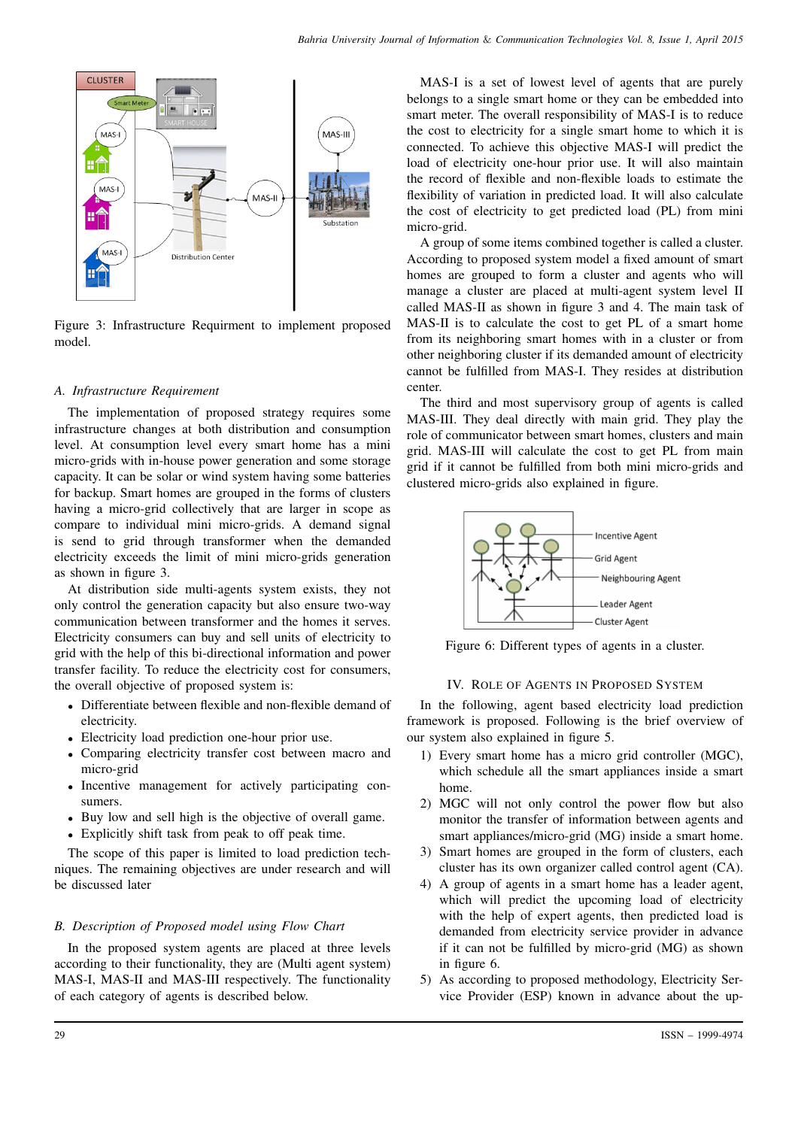

Figure 3: Infrastructure Requirment to implement proposed model.

## *A. Infrastructure Requirement*

The implementation of proposed strategy requires some infrastructure changes at both distribution and consumption level. At consumption level every smart home has a mini micro-grids with in-house power generation and some storage capacity. It can be solar or wind system having some batteries for backup. Smart homes are grouped in the forms of clusters having a micro-grid collectively that are larger in scope as compare to individual mini micro-grids. A demand signal is send to grid through transformer when the demanded electricity exceeds the limit of mini micro-grids generation as shown in figure 3.

At distribution side multi-agents system exists, they not only control the generation capacity but also ensure two-way communication between transformer and the homes it serves. Electricity consumers can buy and sell units of electricity to grid with the help of this bi-directional information and power transfer facility. To reduce the electricity cost for consumers, the overall objective of proposed system is:

- Differentiate between flexible and non-flexible demand of electricity.
- Electricity load prediction one-hour prior use.
- Comparing electricity transfer cost between macro and micro-grid
- Incentive management for actively participating consumers.
- Buy low and sell high is the objective of overall game.
- Explicitly shift task from peak to off peak time.

The scope of this paper is limited to load prediction techniques. The remaining objectives are under research and will be discussed later

## *B. Description of Proposed model using Flow Chart*

In the proposed system agents are placed at three levels according to their functionality, they are (Multi agent system) MAS-I, MAS-II and MAS-III respectively. The functionality of each category of agents is described below.

MAS-I is a set of lowest level of agents that are purely belongs to a single smart home or they can be embedded into smart meter. The overall responsibility of MAS-I is to reduce the cost to electricity for a single smart home to which it is connected. To achieve this objective MAS-I will predict the load of electricity one-hour prior use. It will also maintain the record of flexible and non-flexible loads to estimate the flexibility of variation in predicted load. It will also calculate the cost of electricity to get predicted load (PL) from mini micro-grid.

A group of some items combined together is called a cluster. According to proposed system model a fixed amount of smart homes are grouped to form a cluster and agents who will manage a cluster are placed at multi-agent system level II called MAS-II as shown in figure 3 and 4. The main task of MAS-II is to calculate the cost to get PL of a smart home from its neighboring smart homes with in a cluster or from other neighboring cluster if its demanded amount of electricity cannot be fulfilled from MAS-I. They resides at distribution center.

The third and most supervisory group of agents is called MAS-III. They deal directly with main grid. They play the role of communicator between smart homes, clusters and main grid. MAS-III will calculate the cost to get PL from main grid if it cannot be fulfilled from both mini micro-grids and clustered micro-grids also explained in figure.



Figure 6: Different types of agents in a cluster.

## IV. ROLE OF AGENTS IN PROPOSED SYSTEM

In the following, agent based electricity load prediction framework is proposed. Following is the brief overview of our system also explained in figure 5.

- 1) Every smart home has a micro grid controller (MGC), which schedule all the smart appliances inside a smart home.
- 2) MGC will not only control the power flow but also monitor the transfer of information between agents and smart appliances/micro-grid (MG) inside a smart home.
- 3) Smart homes are grouped in the form of clusters, each cluster has its own organizer called control agent (CA).
- 4) A group of agents in a smart home has a leader agent, which will predict the upcoming load of electricity with the help of expert agents, then predicted load is demanded from electricity service provider in advance if it can not be fulfilled by micro-grid (MG) as shown in figure 6.
- 5) As according to proposed methodology, Electricity Service Provider (ESP) known in advance about the up-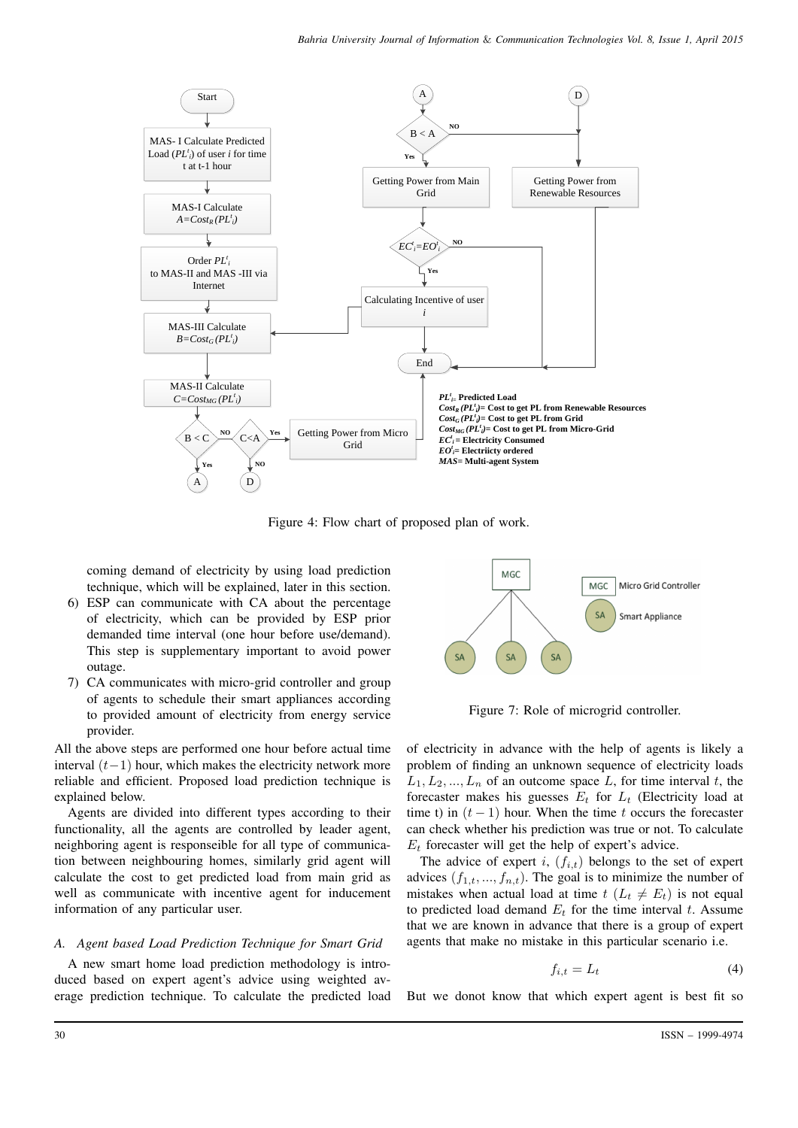

Figure 4: Flow chart of proposed plan of work.

coming demand of electricity by using load prediction technique, which will be explained, later in this section.

- 6) ESP can communicate with CA about the percentage of electricity, which can be provided by ESP prior demanded time interval (one hour before use/demand). This step is supplementary important to avoid power outage.
- 7) CA communicates with micro-grid controller and group of agents to schedule their smart appliances according to provided amount of electricity from energy service provider.

All the above steps are performed one hour before actual time interval  $(t-1)$  hour, which makes the electricity network more reliable and efficient. Proposed load prediction technique is explained below.

Agents are divided into different types according to their functionality, all the agents are controlled by leader agent, neighboring agent is responseible for all type of communication between neighbouring homes, similarly grid agent will calculate the cost to get predicted load from main grid as well as communicate with incentive agent for inducement information of any particular user.

## *A. Agent based Load Prediction Technique for Smart Grid*

A new smart home load prediction methodology is introduced based on expert agent's advice using weighted average prediction technique. To calculate the predicted load



Figure 7: Role of microgrid controller.

of electricity in advance with the help of agents is likely a problem of finding an unknown sequence of electricity loads  $L_1, L_2, ..., L_n$  of an outcome space L, for time interval t, the forecaster makes his guesses  $E_t$  for  $L_t$  (Electricity load at time t) in  $(t - 1)$  hour. When the time t occurs the forecaster can check whether his prediction was true or not. To calculate  $E_t$  forecaster will get the help of expert's advice.

The advice of expert i,  $(f_{i,t})$  belongs to the set of expert advices  $(f_{1,t},..., f_{n,t})$ . The goal is to minimize the number of mistakes when actual load at time  $t$   $(L_t \neq E_t)$  is not equal to predicted load demand  $E_t$  for the time interval t. Assume that we are known in advance that there is a group of expert agents that make no mistake in this particular scenario i.e.

$$
f_{i,t} = L_t \tag{4}
$$

But we donot know that which expert agent is best fit so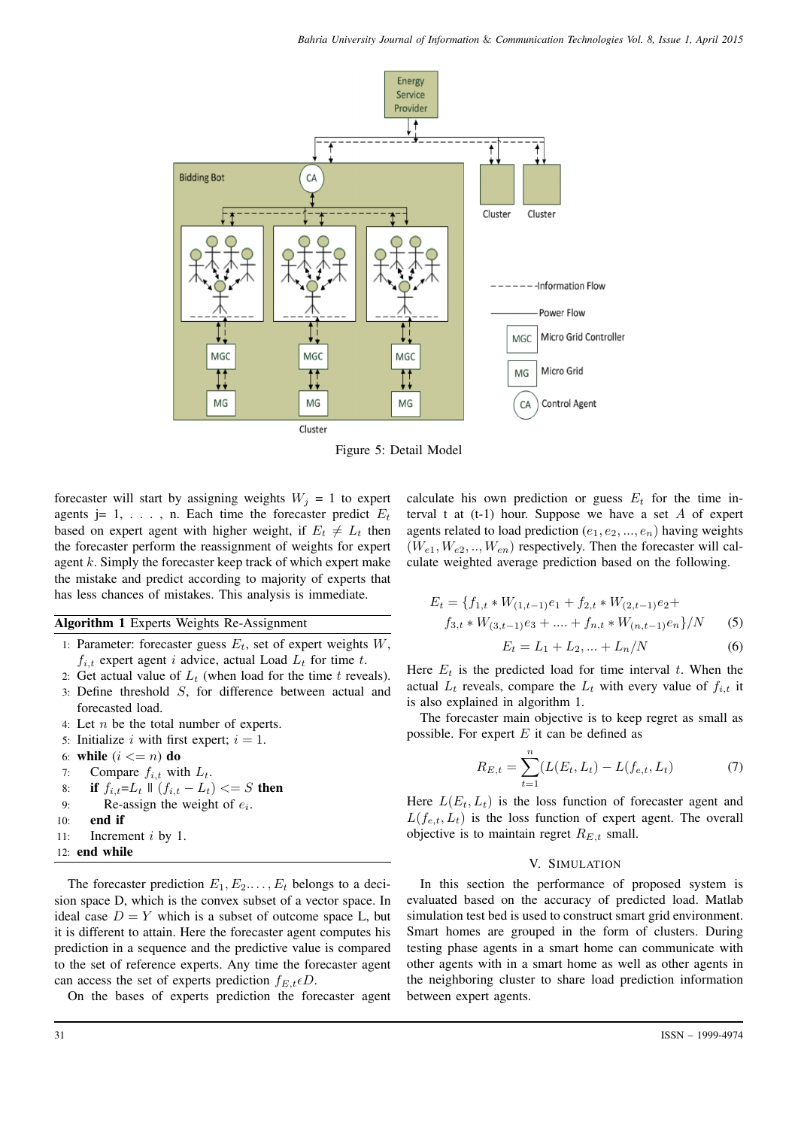

Figure 5: Detail Model

forecaster will start by assigning weights  $W_j = 1$  to expert agents j=  $1, \ldots, n$ . Each time the forecaster predict  $E_t$ based on expert agent with higher weight, if  $E_t \neq L_t$  then the forecaster perform the reassignment of weights for expert agent  $k$ . Simply the forecaster keep track of which expert make the mistake and predict according to majority of experts that has less chances of mistakes. This analysis is immediate.

Algorithm 1 Experts Weights Re-Assignment

- 1: Parameter: forecaster guess  $E_t$ , set of expert weights  $W$ ,  $f_{i,t}$  expert agent i advice, actual Load  $L_t$  for time t.
- 2: Get actual value of  $L_t$  (when load for the time t reveals). 3: Define threshold S, for difference between actual and forecasted load.
- 4: Let n be the total number of experts.
- 5: Initialize i with first expert;  $i = 1$ .
- 6: while  $(i \leq n)$  do
- 7: Compare  $f_{i,t}$  with  $L_t$ .
- 8: if  $f_{i,t} = L_t \parallel (f_{i,t} L_t) \leq S$  then
- 9: Re-assign the weight of  $e_i$ .
- 10: end if
- 11: Increment i by 1.
- 12: end while

The forecaster prediction  $E_1, E_2, \ldots, E_t$  belongs to a decision space D, which is the convex subset of a vector space. In ideal case  $D = Y$  which is a subset of outcome space L, but it is different to attain. Here the forecaster agent computes his prediction in a sequence and the predictive value is compared to the set of reference experts. Any time the forecaster agent can access the set of experts prediction  $f_{E,t} \epsilon D$ .

On the bases of experts prediction the forecaster agent

calculate his own prediction or guess  $E_t$  for the time interval t at  $(t-1)$  hour. Suppose we have a set  $A$  of expert agents related to load prediction  $(e_1, e_2, ..., e_n)$  having weights  $(W_{e1}, W_{e2}, ..., W_{en})$  respectively. Then the forecaster will calculate weighted average prediction based on the following.

$$
E_t = \{f_{1,t} * W_{(1,t-1)}e_1 + f_{2,t} * W_{(2,t-1)}e_2 +f_{3,t} * W_{(3,t-1)}e_3 + \dots + f_{n,t} * W_{(n,t-1)}e_n\}/N
$$
 (5)

$$
E_t = L_1 + L_2, \dots + L_n/N
$$
 (6)

Here  $E_t$  is the predicted load for time interval t. When the actual  $L_t$  reveals, compare the  $L_t$  with every value of  $f_{i,t}$  it is also explained in algorithm 1.

The forecaster main objective is to keep regret as small as possible. For expert  $E$  it can be defined as

$$
R_{E,t} = \sum_{t=1}^{n} (L(E_t, L_t) - L(f_{e,t}, L_t)
$$
 (7)

Here  $L(E_t, L_t)$  is the loss function of forecaster agent and  $L(f_{e,t}, L_t)$  is the loss function of expert agent. The overall objective is to maintain regret  $R_{E,t}$  small.

### V. SIMULATION

In this section the performance of proposed system is evaluated based on the accuracy of predicted load. Matlab simulation test bed is used to construct smart grid environment. Smart homes are grouped in the form of clusters. During testing phase agents in a smart home can communicate with other agents with in a smart home as well as other agents in the neighboring cluster to share load prediction information between expert agents.